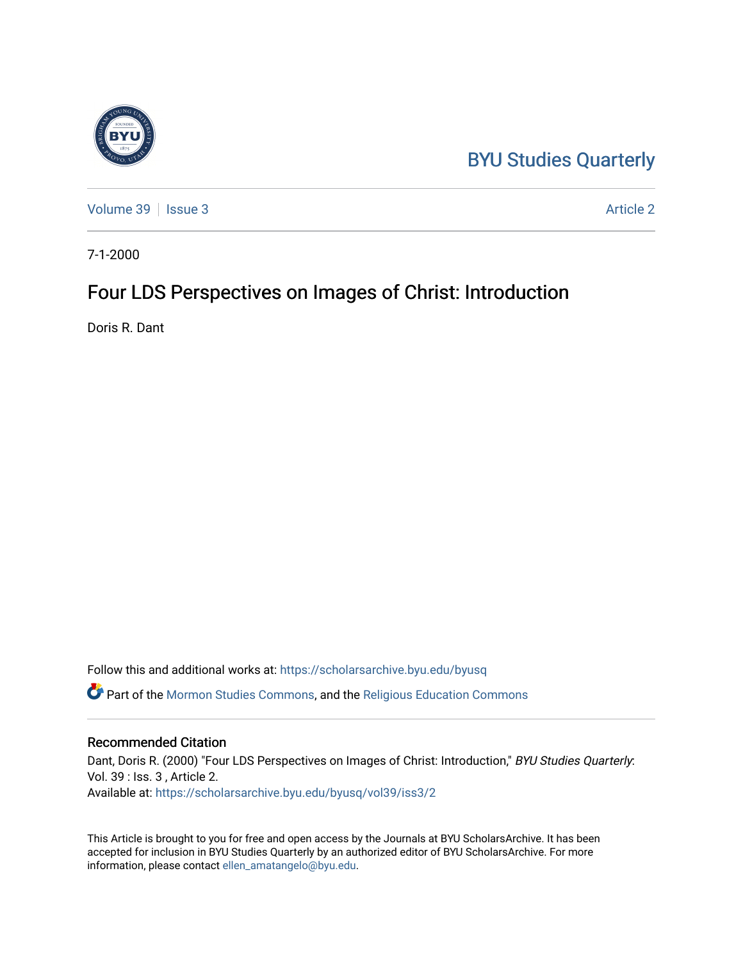## [BYU Studies Quarterly](https://scholarsarchive.byu.edu/byusq)

[Volume 39](https://scholarsarchive.byu.edu/byusq/vol39) | [Issue 3](https://scholarsarchive.byu.edu/byusq/vol39/iss3) Article 2

7-1-2000

## Four LDS Perspectives on Images of Christ: Introduction

Doris R. Dant

Follow this and additional works at: [https://scholarsarchive.byu.edu/byusq](https://scholarsarchive.byu.edu/byusq?utm_source=scholarsarchive.byu.edu%2Fbyusq%2Fvol39%2Fiss3%2F2&utm_medium=PDF&utm_campaign=PDFCoverPages) 

Part of the [Mormon Studies Commons](http://network.bepress.com/hgg/discipline/1360?utm_source=scholarsarchive.byu.edu%2Fbyusq%2Fvol39%2Fiss3%2F2&utm_medium=PDF&utm_campaign=PDFCoverPages), and the [Religious Education Commons](http://network.bepress.com/hgg/discipline/1414?utm_source=scholarsarchive.byu.edu%2Fbyusq%2Fvol39%2Fiss3%2F2&utm_medium=PDF&utm_campaign=PDFCoverPages) 

## Recommended Citation

Dant, Doris R. (2000) "Four LDS Perspectives on Images of Christ: Introduction," BYU Studies Quarterly: Vol. 39 : Iss. 3 , Article 2. Available at: [https://scholarsarchive.byu.edu/byusq/vol39/iss3/2](https://scholarsarchive.byu.edu/byusq/vol39/iss3/2?utm_source=scholarsarchive.byu.edu%2Fbyusq%2Fvol39%2Fiss3%2F2&utm_medium=PDF&utm_campaign=PDFCoverPages)

This Article is brought to you for free and open access by the Journals at BYU ScholarsArchive. It has been accepted for inclusion in BYU Studies Quarterly by an authorized editor of BYU ScholarsArchive. For more information, please contact [ellen\\_amatangelo@byu.edu.](mailto:ellen_amatangelo@byu.edu)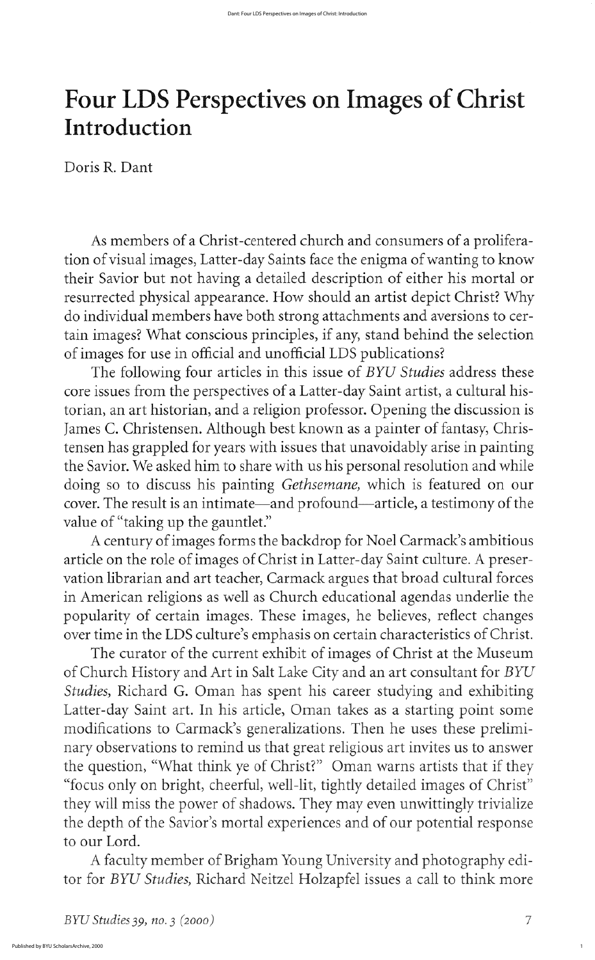As members of a christ centered church and consumers of a proliferation of visual images, Latter-day Saints face the enigma of wanting to know their savior but not having a detailed description of either his mortal or resurrected physical appearance. How should an artist depict Christ? Why do individual members have both strong attachments and aversions to certain images? What conscious principles, if any, stand behind the selection of images for use in official and unofficial LDS publications

The following four articles in this issue of BYU Studies address these core issues from the perspectives of a Latter-day Saint artist, a cultural historian, an art historian, and a religion professor. Opening the discussion is James C. Christensen. Although best known as a painter of fantasy, Christensen has grappled for years with issues that unavoidably arise in painting the Savior. We asked him to share with us his personal resolution and while doing so to discuss his painting Gethsemane, which is featured on our cover. The result is an intimate—and profound—article, a testimony of the value of "taking up the gauntlet." A century of images forms the backdrop for Noel Carmack's ambitious article on the role of images of Christ in Latter-day Saint culture. A preservation librarian and art teacher, Carmack argues that broad cultural forces in American religions as well as Church educational agendas underlie the popularity of certain images. These images, he believes, reflect changes over time in the LDS culture's emphasis on certain characteristics of Christ. The curator of the current exhibit of images of Christ at the Museum of Church History and Art in Salt Lake City and an art consultant for BYU Studies, Richard G. Oman has spent his career studying and exhibiting Latter-day Saint art. In his article, Oman takes as a starting point some modifications to Carmack's generalizations. Then he uses these preliminary observations to remind us that great religious art invites us to answer the question, "What think ye of Christ?" Oman warns artists that if they "focus only on bright, cheerful, well-lit, tightly detailed images of Christ" they will miss the power of shadows. They may even unwittingly trivialize the depth of the Savior's mortal experiences and of our potential response to our lord

A faculty member of Brigham Young University and photography editor for BYU Studies, Richard Neitzel Holzapfel issues a call to think more

 $BYU$  Studies 39, no. 3 (2000)  $7$ 

1

## Four LDS Perspectives on Images of Christ Introduction

Doris R. Dant